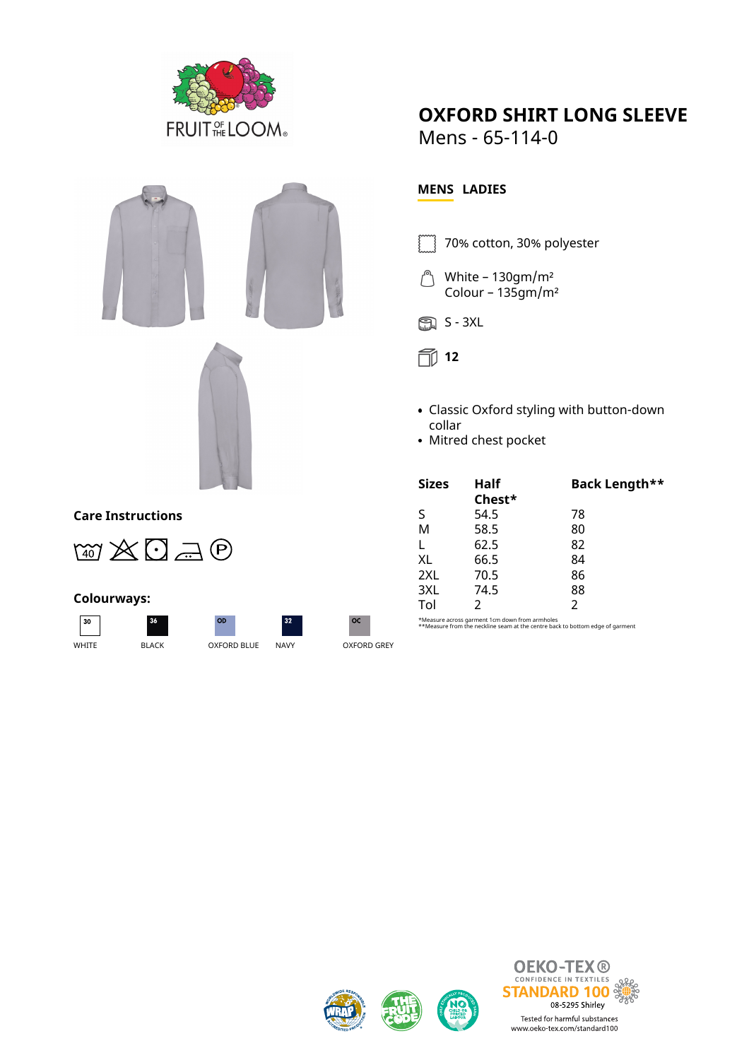



## **Care Instructions**



## **Colourways:**

 $\sqrt{30}$ 

OD WHITE BLACK OXFORD BLUE NAVY OXFORD GREY

 $32$ 



**OXFORD SHIRT LONG SLEEVE**

Mens - 65-114-0

## **MENS LADIES**

- 70% cotton, 30% polyester
- White 130gm/m² Colour – 135gm/m²



**12**

- Classic Oxford styling with button-down collar
- Mitred chest pocket

| <b>Sizes</b> | Half   | Back Length** |
|--------------|--------|---------------|
|              | Chest* |               |
| S            | 54.5   | 78            |
| M            | 58.5   | 80            |
| L            | 62.5   | 82            |
| XL           | 66.5   | 84            |
| 2XL          | 70.5   | 86            |
| 3XL          | 74.5   | 88            |
| Tol          | 2      | $\mathcal{P}$ |

\*Measure across garment 1cm down from armholes \*\*Measure from the neckline seam at the centre back to bottom edge of garment